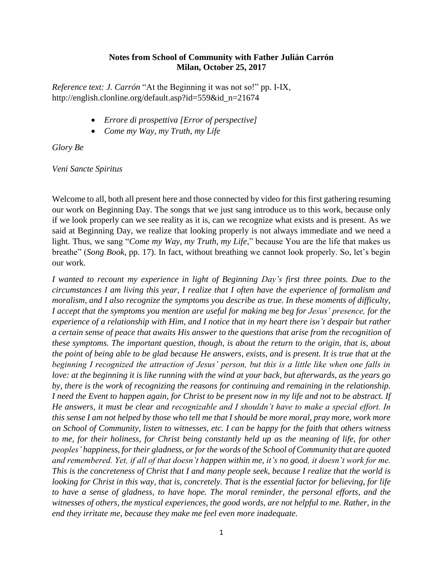## **Notes from School of Community with Father Julián Carrón Milan, October 25, 2017**

*Reference text: J. Carrón* "At the Beginning it was not so!" pp. I-IX, http://english.clonline.org/default.asp?id=559&id\_n=21674

- *Errore di prospettiva [Error of perspective]*
- *Come my Way, my Truth, my Life*

*Glory Be*

*Veni Sancte Spiritus*

Welcome to all, both all present here and those connected by video for this first gathering resuming our work on Beginning Day. The songs that we just sang introduce us to this work, because only if we look properly can we see reality as it is, can we recognize what exists and is present. As we said at Beginning Day, we realize that looking properly is not always immediate and we need a light. Thus, we sang "*Come my Way, my Truth, my Life*," because You are the life that makes us breathe" (*Song Book*, pp. 17). In fact, without breathing we cannot look properly. So, let's begin our work.

*I wanted to recount my experience in light of Beginning Day's first three points. Due to the circumstances I am living this year, I realize that I often have the experience of formalism and moralism, and I also recognize the symptoms you describe as true. In these moments of difficulty, I accept that the symptoms you mention are useful for making me beg for Jesus' presence, for the experience of a relationship with Him, and I notice that in my heart there isn't despair but rather a certain sense of peace that awaits His answer to the questions that arise from the recognition of these symptoms. The important question, though, is about the return to the origin, that is, about the point of being able to be glad because He answers, exists, and is present. It is true that at the beginning I recognized the attraction of Jesus' person, but this is a little like when one falls in love: at the beginning it is like running with the wind at your back, but afterwards, as the years go by, there is the work of recognizing the reasons for continuing and remaining in the relationship. I need the Event to happen again, for Christ to be present now in my life and not to be abstract. If He answers, it must be clear and recognizable and I shouldn't have to make a special effort. In this sense I am not helped by those who tell me that I should be more moral, pray more, work more on School of Community, listen to witnesses, etc. I can be happy for the faith that others witness to me, for their holiness, for Christ being constantly held up as the meaning of life, for other peoples' happiness, for their gladness, or for the words of the School of Community that are quoted and remembered. Yet, if all of that doesn't happen within me, it's no good, it doesn't work for me. This is the concreteness of Christ that I and many people seek, because I realize that the world is looking for Christ in this way, that is, concretely. That is the essential factor for believing, for life to have a sense of gladness, to have hope. The moral reminder, the personal efforts, and the witnesses of others, the mystical experiences, the good words, are not helpful to me. Rather, in the end they irritate me, because they make me feel even more inadequate.*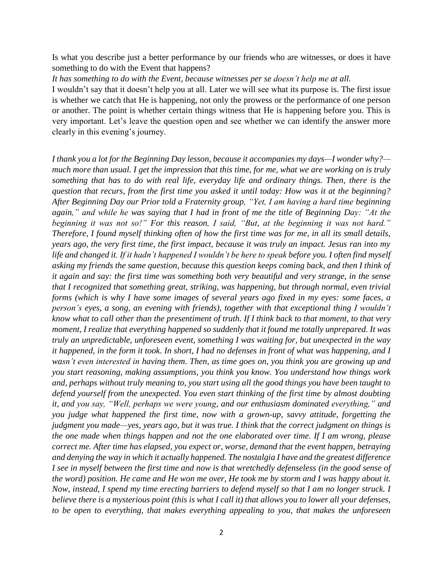Is what you describe just a better performance by our friends who are witnesses, or does it have something to do with the Event that happens?

*It has something to do with the Event, because witnesses per se doesn't help me at all.*

I wouldn't say that it doesn't help you at all. Later we will see what its purpose is. The first issue is whether we catch that He is happening, not only the prowess or the performance of one person or another. The point is whether certain things witness that He is happening before you. This is very important. Let's leave the question open and see whether we can identify the answer more clearly in this evening's journey.

*I thank you a lot for the Beginning Day lesson, because it accompanies my days—I wonder why? much more than usual. I get the impression that this time, for me, what we are working on is truly something that has to do with real life, everyday life and ordinary things. Then, there is the question that recurs, from the first time you asked it until today: How was it at the beginning? After Beginning Day our Prior told a Fraternity group, "Yet, I am having a hard time beginning again," and while he was saying that I had in front of me the title of Beginning Day: "At the beginning it was not so!" For this reason, I said, "But, at the beginning it was not hard." Therefore, I found myself thinking often of how the first time was for me, in all its small details, years ago, the very first time, the first impact, because it was truly an impact. Jesus ran into my life and changed it. If it hadn't happened I wouldn't be here to speak before you. I often find myself asking my friends the same question, because this question keeps coming back, and then I think of it again and say: the first time was something both very beautiful and very strange, in the sense that I recognized that something great, striking, was happening, but through normal, even trivial forms (which is why I have some images of several years ago fixed in my eyes: some faces, a person's eyes, a song, an evening with friends), together with that exceptional thing I wouldn't know what to call other than the presentiment of truth. If I think back to that moment, to that very moment, I realize that everything happened so suddenly that it found me totally unprepared. It was truly an unpredictable, unforeseen event, something I was waiting for, but unexpected in the way it happened, in the form it took. In short, I had no defenses in front of what was happening, and I wasn't even interested in having them. Then, as time goes on, you think you are growing up and you start reasoning, making assumptions, you think you know. You understand how things work and, perhaps without truly meaning to, you start using all the good things you have been taught to defend yourself from the unexpected. You even start thinking of the first time by almost doubting it, and you say, "Well, perhaps we were young, and our enthusiasm dominated everything," and you judge what happened the first time, now with a grown-up, savvy attitude, forgetting the judgment you made—yes, years ago, but it was true. I think that the correct judgment on things is the one made when things happen and not the one elaborated over time. If I am wrong, please correct me. After time has elapsed, you expect or, worse, demand that the event happen, betraying and denying the way in which it actually happened. The nostalgia I have and the greatest difference I see in myself between the first time and now is that wretchedly defenseless (in the good sense of the word) position. He came and He won me over, He took me by storm and I was happy about it. Now, instead, I spend my time erecting barriers to defend myself so that I am no longer struck. I believe there is a mysterious point (this is what I call it) that allows you to lower all your defenses, to be open to everything, that makes everything appealing to you, that makes the unforeseen*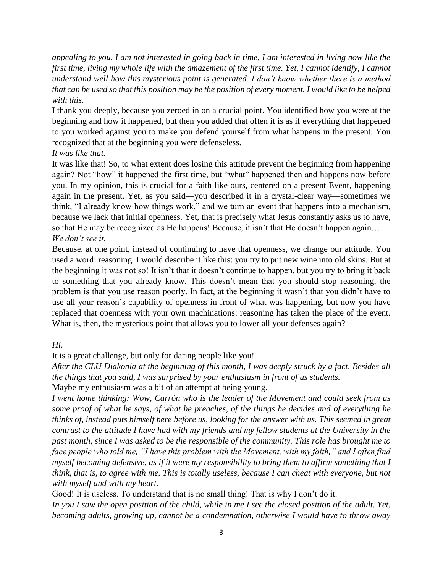*appealing to you. I am not interested in going back in time, I am interested in living now like the first time, living my whole life with the amazement of the first time. Yet, I cannot identify, I cannot understand well how this mysterious point is generated. I don't know whether there is a method that can be used so that this position may be the position of every moment. I would like to be helped with this.*

I thank you deeply, because you zeroed in on a crucial point. You identified how you were at the beginning and how it happened, but then you added that often it is as if everything that happened to you worked against you to make you defend yourself from what happens in the present. You recognized that at the beginning you were defenseless.

# *It was like that.*

It was like that! So, to what extent does losing this attitude prevent the beginning from happening again? Not "how" it happened the first time, but "what" happened then and happens now before you. In my opinion, this is crucial for a faith like ours, centered on a present Event, happening again in the present. Yet, as you said—you described it in a crystal-clear way—sometimes we think, "I already know how things work," and we turn an event that happens into a mechanism, because we lack that initial openness. Yet, that is precisely what Jesus constantly asks us to have, so that He may be recognized as He happens! Because, it isn't that He doesn't happen again... *We don't see it.*

Because, at one point, instead of continuing to have that openness, we change our attitude. You used a word: reasoning. I would describe it like this: you try to put new wine into old skins. But at the beginning it was not so! It isn't that it doesn't continue to happen, but you try to bring it back to something that you already know. This doesn't mean that you should stop reasoning, the problem is that you use reason poorly. In fact, at the beginning it wasn't that you didn't have to use all your reason's capability of openness in front of what was happening, but now you have replaced that openness with your own machinations: reasoning has taken the place of the event. What is, then, the mysterious point that allows you to lower all your defenses again?

# *Hi.*

It is a great challenge, but only for daring people like you!

*After the CLU Diakonia at the beginning of this month, I was deeply struck by a fact. Besides all the things that you said, I was surprised by your enthusiasm in front of us students.*

Maybe my enthusiasm was a bit of an attempt at being young.

*I went home thinking: Wow, Carrón who is the leader of the Movement and could seek from us some proof of what he says, of what he preaches, of the things he decides and of everything he thinks of, instead puts himself here before us, looking for the answer with us. This seemed in great contrast to the attitude I have had with my friends and my fellow students at the University in the past month, since I was asked to be the responsible of the community. This role has brought me to face people who told me, "I have this problem with the Movement, with my faith," and I often find myself becoming defensive, as if it were my responsibility to bring them to affirm something that I think, that is, to agree with me. This is totally useless, because I can cheat with everyone, but not with myself and with my heart.*

Good! It is useless. To understand that is no small thing! That is why I don't do it.

*In you I saw the open position of the child, while in me I see the closed position of the adult. Yet, becoming adults, growing up, cannot be a condemnation, otherwise I would have to throw away*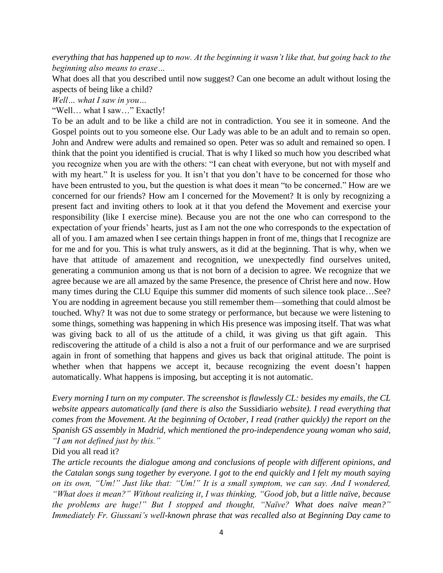*everything that has happened up to now. At the beginning it wasn't like that, but going back to the beginning also means to erase…*

What does all that you described until now suggest? Can one become an adult without losing the aspects of being like a child?

*Well… what I saw in you…*

"Well… what I saw…" Exactly!

To be an adult and to be like a child are not in contradiction. You see it in someone. And the Gospel points out to you someone else. Our Lady was able to be an adult and to remain so open. John and Andrew were adults and remained so open. Peter was so adult and remained so open. I think that the point you identified is crucial. That is why I liked so much how you described what you recognize when you are with the others: "I can cheat with everyone, but not with myself and with my heart." It is useless for you. It isn't that you don't have to be concerned for those who have been entrusted to you, but the question is what does it mean "to be concerned." How are we concerned for our friends? How am I concerned for the Movement? It is only by recognizing a present fact and inviting others to look at it that you defend the Movement and exercise your responsibility (like I exercise mine). Because you are not the one who can correspond to the expectation of your friends' hearts, just as I am not the one who corresponds to the expectation of all of you. I am amazed when I see certain things happen in front of me, things that I recognize are for me and for you. This is what truly answers, as it did at the beginning. That is why, when we have that attitude of amazement and recognition, we unexpectedly find ourselves united, generating a communion among us that is not born of a decision to agree. We recognize that we agree because we are all amazed by the same Presence, the presence of Christ here and now. How many times during the CLU Equipe this summer did moments of such silence took place…See? You are nodding in agreement because you still remember them—something that could almost be touched. Why? It was not due to some strategy or performance, but because we were listening to some things, something was happening in which His presence was imposing itself. That was what was giving back to all of us the attitude of a child, it was giving us that gift again. This rediscovering the attitude of a child is also a not a fruit of our performance and we are surprised again in front of something that happens and gives us back that original attitude. The point is whether when that happens we accept it, because recognizing the event doesn't happen automatically. What happens is imposing, but accepting it is not automatic.

*Every morning I turn on my computer. The screenshot is flawlessly CL: besides my emails, the CL website appears automatically (and there is also the* Sussidiario *website). I read everything that comes from the Movement. At the beginning of October, I read (rather quickly) the report on the Spanish GS assembly in Madrid, which mentioned the pro-independence young woman who said, "I am not defined just by this."*

Did you all read it?

*The article recounts the dialogue among and conclusions of people with different opinions, and the Catalan songs sung together by everyone. I got to the end quickly and I felt my mouth saying on its own, "Um!" Just like that: "Um!" It is a small symptom, we can say. And I wondered, "What does it mean?" Without realizing it, I was thinking, "Good job, but a little naïve, because the problems are huge!" But I stopped and thought, "Naïve? What does naïve mean?" Immediately Fr. Giussani's well-known phrase that was recalled also at Beginning Day came to*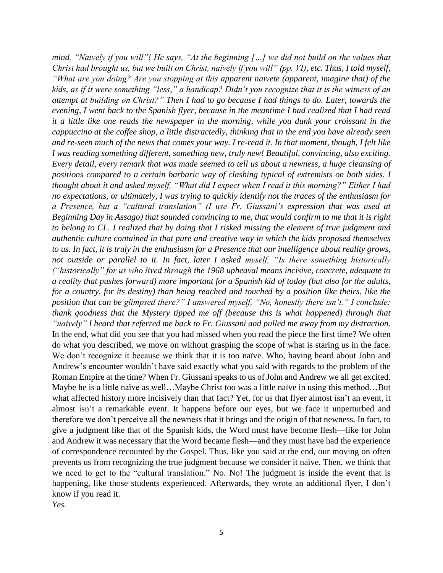*mind, "Naively if you will"! He says, "At the beginning […] we did not build on the values that Christ had brought us, but we built on Christ, naively if you will" (pp. VI), etc. Thus, I told myself, "What are you doing? Are you stopping at this apparent naivete (apparent, imagine that) of the kids, as if it were something "less," a handicap? Didn't you recognize that it is the witness of an attempt at building on Christ?" Then I had to go because I had things to do. Later, towards the evening, I went back to the Spanish flyer, because in the meantime I had realized that I had read it a little like one reads the newspaper in the morning, while you dunk your croissant in the cappuccino at the coffee shop, a little distractedly, thinking that in the end you have already seen and re-seen much of the news that comes your way. I re-read it. In that moment, though, I felt like I was reading something different, something new, truly new! Beautiful, convincing, also exciting. Every detail, every remark that was made seemed to tell us about a newness, a huge cleansing of positions compared to a certain barbaric way of clashing typical of extremists on both sides. I thought about it and asked myself, "What did I expect when I read it this morning?" Either I had no expectations, or ultimately, I was trying to quickly identify not the traces of the enthusiasm for a Presence, but a "cultural translation" (I use Fr. Giussani's expression that was used at Beginning Day in Assago) that sounded convincing to me, that would confirm to me that it is right to belong to CL. I realized that by doing that I risked missing the element of true judgment and authentic culture contained in that pure and creative way in which the kids proposed themselves to us. In fact, it is truly in the enthusiasm for a Presence that our intelligence about reality grows, not outside or parallel to it. In fact, later I asked myself, "Is there something historically ("historically" for us who lived through the 1968 upheaval means incisive, concrete, adequate to a reality that pushes forward) more important for a Spanish kid of today (but also for the adults, for a country, for its destiny) than being reached and touched by a position like theirs, like the position that can be glimpsed there?" I answered myself, "No, honestly there isn't." I conclude: thank goodness that the Mystery tipped me off (because this is what happened) through that "naively" I heard that referred me back to Fr. Giussani and pulled me away from my distraction.* In the end, what did you see that you had missed when you read the piece the first time? We often do what you described, we move on without grasping the scope of what is staring us in the face. We don't recognize it because we think that it is too naïve. Who, having heard about John and Andrew's encounter wouldn't have said exactly what you said with regards to the problem of the Roman Empire at the time? When Fr. Giussani speaks to us of John and Andrew we all get excited. Maybe he is a little naïve as well…Maybe Christ too was a little naïve in using this method…But what affected history more incisively than that fact? Yet, for us that flyer almost isn't an event, it almost isn't a remarkable event. It happens before our eyes, but we face it unperturbed and therefore we don't perceive all the newness that it brings and the origin of that newness. In fact, to give a judgment like that of the Spanish kids, the Word must have become flesh—like for John and Andrew it was necessary that the Word became flesh—and they must have had the experience of correspondence recounted by the Gospel. Thus, like you said at the end, our moving on often prevents us from recognizing the true judgment because we consider it naïve. Then, we think that we need to get to the "cultural translation." No. No! The judgment is inside the event that is happening, like those students experienced. Afterwards, they wrote an additional flyer, I don't know if you read it.

*Yes.*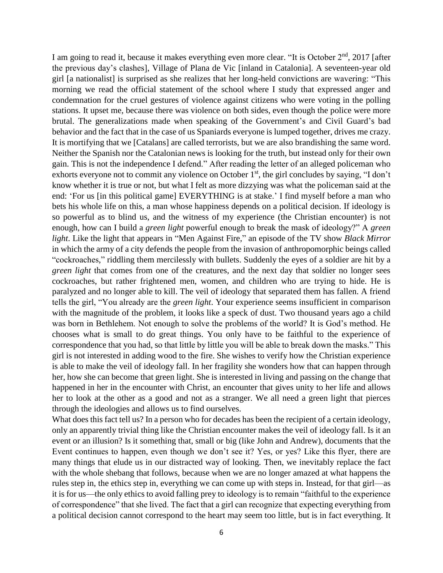I am going to read it, because it makes everything even more clear. "It is October  $2<sup>nd</sup>$ , 2017 [after the previous day's clashes], Village of Plana de Vic [inland in Catalonia]. A seventeen-year old girl [a nationalist] is surprised as she realizes that her long-held convictions are wavering: "This morning we read the official statement of the school where I study that expressed anger and condemnation for the cruel gestures of violence against citizens who were voting in the polling stations. It upset me, because there was violence on both sides, even though the police were more brutal. The generalizations made when speaking of the Government's and Civil Guard's bad behavior and the fact that in the case of us Spaniards everyone is lumped together, drives me crazy. It is mortifying that we [Catalans] are called terrorists, but we are also brandishing the same word. Neither the Spanish nor the Catalonian news is looking for the truth, but instead only for their own gain. This is not the independence I defend." After reading the letter of an alleged policeman who exhorts everyone not to commit any violence on October 1<sup>st</sup>, the girl concludes by saying, "I don't know whether it is true or not, but what I felt as more dizzying was what the policeman said at the end: 'For us [in this political game] EVERYTHING is at stake.' I find myself before a man who bets his whole life on this, a man whose happiness depends on a political decision. If ideology is so powerful as to blind us, and the witness of my experience (the Christian encounter) is not enough, how can I build a *green light* powerful enough to break the mask of ideology?" A *green light*. Like the light that appears in "Men Against Fire," an episode of the TV show *Black Mirror*  in which the army of a city defends the people from the invasion of anthropomorphic beings called "cockroaches," riddling them mercilessly with bullets. Suddenly the eyes of a soldier are hit by a *green light* that comes from one of the creatures, and the next day that soldier no longer sees cockroaches, but rather frightened men, women, and children who are trying to hide. He is paralyzed and no longer able to kill. The veil of ideology that separated them has fallen. A friend tells the girl, "You already are the *green light*. Your experience seems insufficient in comparison with the magnitude of the problem, it looks like a speck of dust. Two thousand years ago a child was born in Bethlehem. Not enough to solve the problems of the world? It is God's method. He chooses what is small to do great things. You only have to be faithful to the experience of correspondence that you had, so that little by little you will be able to break down the masks." This girl is not interested in adding wood to the fire. She wishes to verify how the Christian experience is able to make the veil of ideology fall. In her fragility she wonders how that can happen through her, how she can become that green light. She is interested in living and passing on the change that happened in her in the encounter with Christ, an encounter that gives unity to her life and allows her to look at the other as a good and not as a stranger. We all need a green light that pierces through the ideologies and allows us to find ourselves.

What does this fact tell us? In a person who for decades has been the recipient of a certain ideology, only an apparently trivial thing like the Christian encounter makes the veil of ideology fall. Is it an event or an illusion? Is it something that, small or big (like John and Andrew), documents that the Event continues to happen, even though we don't see it? Yes, or yes? Like this flyer, there are many things that elude us in our distracted way of looking. Then, we inevitably replace the fact with the whole shebang that follows, because when we are no longer amazed at what happens the rules step in, the ethics step in, everything we can come up with steps in. Instead, for that girl—as it is for us—the only ethics to avoid falling prey to ideology is to remain "faithful to the experience of correspondence" that she lived. The fact that a girl can recognize that expecting everything from a political decision cannot correspond to the heart may seem too little, but is in fact everything. It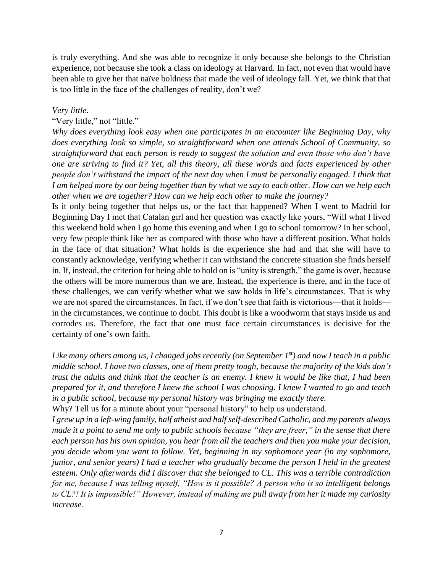is truly everything. And she was able to recognize it only because she belongs to the Christian experience, not because she took a class on ideology at Harvard. In fact, not even that would have been able to give her that naïve boldness that made the veil of ideology fall. Yet, we think that that is too little in the face of the challenges of reality, don't we?

### *Very little.*

#### "Very little," not "little."

*Why does everything look easy when one participates in an encounter like Beginning Day, why does everything look so simple, so straightforward when one attends School of Community, so straightforward that each person is ready to suggest the solution and even those who don't have one are striving to find it? Yet, all this theory, all these words and facts experienced by other people don't withstand the impact of the next day when I must be personally engaged. I think that I am helped more by our being together than by what we say to each other. How can we help each other when we are together? How can we help each other to make the journey?*

Is it only being together that helps us, or the fact that happened? When I went to Madrid for Beginning Day I met that Catalan girl and her question was exactly like yours, "Will what I lived this weekend hold when I go home this evening and when I go to school tomorrow? In her school, very few people think like her as compared with those who have a different position. What holds in the face of that situation? What holds is the experience she had and that she will have to constantly acknowledge, verifying whether it can withstand the concrete situation she finds herself in. If, instead, the criterion for being able to hold on is "unity is strength," the game is over, because the others will be more numerous than we are. Instead, the experience is there, and in the face of these challenges, we can verify whether what we saw holds in life's circumstances. That is why we are not spared the circumstances. In fact, if we don't see that faith is victorious—that it holds in the circumstances, we continue to doubt. This doubt is like a woodworm that stays inside us and corrodes us. Therefore, the fact that one must face certain circumstances is decisive for the certainty of one's own faith.

*Like many others among us, I changed jobs recently (on September 1st) and now I teach in a public middle school. I have two classes, one of them pretty tough, because the majority of the kids don't trust the adults and think that the teacher is an enemy. I knew it would be like that, I had been prepared for it, and therefore I knew the school I was choosing. I knew I wanted to go and teach in a public school, because my personal history was bringing me exactly there.*

Why? Tell us for a minute about your "personal history" to help us understand.

*I grew up in a left-wing family, half atheist and half self-described Catholic, and my parents always made it a point to send me only to public schools because "they are freer," in the sense that there each person has his own opinion, you hear from all the teachers and then you make your decision, you decide whom you want to follow. Yet, beginning in my sophomore year (in my sophomore, junior, and senior years) I had a teacher who gradually became the person I held in the greatest esteem. Only afterwards did I discover that she belonged to CL. This was a terrible contradiction for me, because I was telling myself, "How is it possible? A person who is so intelligent belongs to CL?! It is impossible!" However, instead of making me pull away from her it made my curiosity increase.*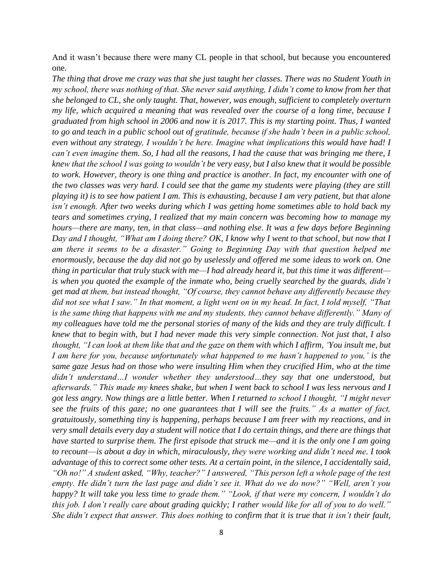And it wasn't because there were many CL people in that school, but because you encountered one.

*The thing that drove me crazy was that she just taught her classes. There was no Student Youth in my school, there was nothing of that. She never said anything, I didn't come to know from her that she belonged to CL, she only taught. That, however, was enough, sufficient to completely overturn my life, which acquired a meaning that was revealed over the course of a long time, because I graduated from high school in 2006 and now it is 2017. This is my starting point. Thus, I wanted to go and teach in a public school out of gratitude, because if she hadn't been in a public school, even without any strategy, I wouldn't be here. Imagine what implications this would have had! I can't even imagine them. So, I had all the reasons, I had the cause that was bringing me there, I knew that the school I was going to wouldn't be very easy, but I also knew that it would be possible*  to work. However, theory is one thing and practice is another. In fact, my encounter with one of *the two classes was very hard. I could see that the game my students were playing (they are still playing it) is to see how patient I am. This is exhausting, because I am very patient, but that alone isn't enough. After two weeks during which I was getting home sometimes able to hold back my tears and sometimes crying, I realized that my main concern was becoming how to manage my hours—there are many, ten, in that class—and nothing else. It was a few days before Beginning Day and I thought, "What am I doing there? OK, I know why I went to that school, but now that I am there it seems to be a disaster." Going to Beginning Day with that question helped me enormously, because the day did not go by uselessly and offered me some ideas to work on. One thing in particular that truly stuck with me—I had already heard it, but this time it was different is when you quoted the example of the inmate who, being cruelly searched by the guards, didn't get mad at them, but instead thought, "Of course, they cannot behave any differently because they did not see what I saw." In that moment, a light went on in my head. In fact, I told myself, "That is the same thing that happens with me and my students, they cannot behave differently." Many of my colleagues have told me the personal stories of many of the kids and they are truly difficult. I knew that to begin with, but I had never made this very simple connection. Not just that, I also thought, "I can look at them like that and the gaze on them with which I affirm, 'You insult me, but I am here for you, because unfortunately what happened to me hasn't happened to you,' is the same gaze Jesus had on those who were insulting Him when they crucified Him, who at the time didn't understand…I wonder whether they understood…they say that one understood, but afterwards." This made my knees shake, but when I went back to school I was less nervous and I got less angry. Now things are a little better. When I returned to school I thought, "I might never see the fruits of this gaze; no one guarantees that I will see the fruits." As a matter of fact, gratuitously, something tiny is happening, perhaps because I am freer with my reactions, and in very small details every day a student will notice that I do certain things, and there are things that have started to surprise them. The first episode that struck me—and it is the only one I am going to recount*—*is about a day in which, miraculously, they were working and didn't need me. I took advantage of this to correct some other tests. At a certain point, in the silence, I accidentally said, "Oh no!" A student asked, "Why, teacher?" I answered, "This person left a whole page of the test empty. He didn't turn the last page and didn't see it. What do we do now?" "Well, aren't you happy? It will take you less time to grade them." "Look, if that were my concern, I wouldn't do this job. I don't really care about grading quickly; I rather would like for all of you to do well." She didn't expect that answer. This does nothing to confirm that it is true that it isn't their fault,*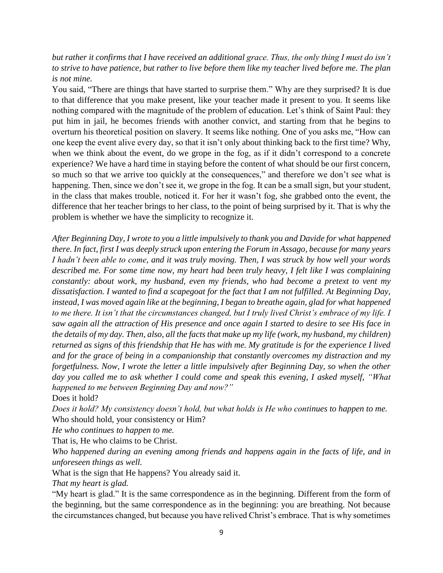*but rather it confirms that I have received an additional grace. Thus, the only thing I must do isn't to strive to have patience, but rather to live before them like my teacher lived before me. The plan is not mine.*

You said, "There are things that have started to surprise them." Why are they surprised? It is due to that difference that you make present, like your teacher made it present to you. It seems like nothing compared with the magnitude of the problem of education. Let's think of Saint Paul: they put him in jail, he becomes friends with another convict, and starting from that he begins to overturn his theoretical position on slavery. It seems like nothing. One of you asks me, "How can one keep the event alive every day, so that it isn't only about thinking back to the first time? Why, when we think about the event, do we grope in the fog, as if it didn't correspond to a concrete experience? We have a hard time in staying before the content of what should be our first concern, so much so that we arrive too quickly at the consequences," and therefore we don't see what is happening. Then, since we don't see it, we grope in the fog. It can be a small sign, but your student, in the class that makes trouble, noticed it. For her it wasn't fog, she grabbed onto the event, the difference that her teacher brings to her class, to the point of being surprised by it. That is why the problem is whether we have the simplicity to recognize it.

*After Beginning Day, I wrote to you a little impulsively to thank you and Davide for what happened there. In fact, first I was deeply struck upon entering the Forum in Assago, because for many years I hadn't been able to come, and it was truly moving. Then, I was struck by how well your words described me. For some time now, my heart had been truly heavy, I felt like I was complaining constantly: about work, my husband, even my friends, who had become a pretext to vent my dissatisfaction. I wanted to find a scapegoat for the fact that I am not fulfilled. At Beginning Day, instead, I was moved again like at the beginning, I began to breathe again, glad for what happened to me there. It isn't that the circumstances changed, but I truly lived Christ's embrace of my life. I saw again all the attraction of His presence and once again I started to desire to see His face in the details of my day. Then, also, all the facts that make up my life (work, my husband, my children) returned as signs of this friendship that He has with me. My gratitude is for the experience I lived and for the grace of being in a companionship that constantly overcomes my distraction and my forgetfulness. Now, I wrote the letter a little impulsively after Beginning Day, so when the other day you called me to ask whether I could come and speak this evening, I asked myself, "What happened to me between Beginning Day and now?"*

Does it hold?

*Does it hold? My consistency doesn't hold, but what holds is He who continues to happen to me.* Who should hold, your consistency or Him?

*He who continues to happen to me.*

That is, He who claims to be Christ.

*Who happened during an evening among friends and happens again in the facts of life, and in unforeseen things as well.*

What is the sign that He happens? You already said it.

*That my heart is glad.*

"My heart is glad." It is the same correspondence as in the beginning. Different from the form of the beginning, but the same correspondence as in the beginning: you are breathing. Not because the circumstances changed, but because you have relived Christ's embrace. That is why sometimes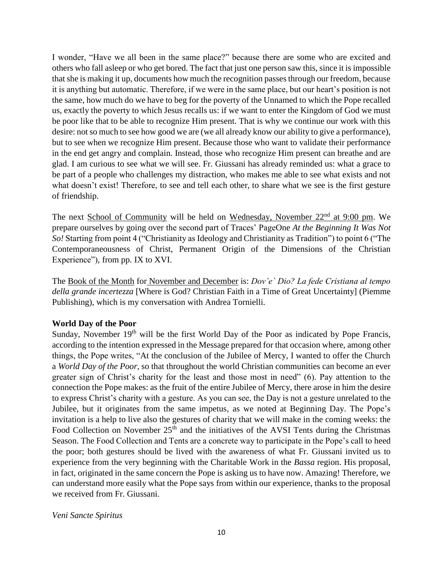I wonder, "Have we all been in the same place?" because there are some who are excited and others who fall asleep or who get bored. The fact that just one person saw this, since it is impossible that she is making it up, documents how much the recognition passes through our freedom, because it is anything but automatic. Therefore, if we were in the same place, but our heart's position is not the same, how much do we have to beg for the poverty of the Unnamed to which the Pope recalled us, exactly the poverty to which Jesus recalls us: if we want to enter the Kingdom of God we must be poor like that to be able to recognize Him present. That is why we continue our work with this desire: not so much to see how good we are (we all already know our ability to give a performance), but to see when we recognize Him present. Because those who want to validate their performance in the end get angry and complain. Instead, those who recognize Him present can breathe and are glad. I am curious to see what we will see. Fr. Giussani has already reminded us: what a grace to be part of a people who challenges my distraction, who makes me able to see what exists and not what doesn't exist! Therefore, to see and tell each other, to share what we see is the first gesture of friendship.

The next School of Community will be held on Wednesday, November 22<sup>nd</sup> at 9:00 pm. We prepare ourselves by going over the second part of Traces' PageOne *At the Beginning It Was Not So!* Starting from point 4 ("Christianity as Ideology and Christianity as Tradition") to point 6 ("The Contemporaneousness of Christ, Permanent Origin of the Dimensions of the Christian Experience"), from pp. IX to XVI.

The Book of the Month for November and December is: *Dov'e` Dio? La fede Cristiana al tempo della grande incertezza* [Where is God? Christian Faith in a Time of Great Uncertainty] (Piemme Publishing), which is my conversation with Andrea Tornielli.

### **World Day of the Poor**

Sunday, November 19<sup>th</sup> will be the first World Day of the Poor as indicated by Pope Francis, according to the intention expressed in the Message prepared for that occasion where, among other things, the Pope writes, "At the conclusion of the Jubilee of Mercy, I wanted to offer the Church a *World Day of the Poor*, so that throughout the world Christian communities can become an ever greater sign of Christ's charity for the least and those most in need" (6). Pay attention to the connection the Pope makes: as the fruit of the entire Jubilee of Mercy, there arose in him the desire to express Christ's charity with a gesture. As you can see, the Day is not a gesture unrelated to the Jubilee, but it originates from the same impetus, as we noted at Beginning Day. The Pope's invitation is a help to live also the gestures of charity that we will make in the coming weeks: the Food Collection on November 25<sup>th</sup> and the initiatives of the AVSI Tents during the Christmas Season. The Food Collection and Tents are a concrete way to participate in the Pope's call to heed the poor; both gestures should be lived with the awareness of what Fr. Giussani invited us to experience from the very beginning with the Charitable Work in the *Bassa* region. His proposal, in fact, originated in the same concern the Pope is asking us to have now. Amazing! Therefore, we can understand more easily what the Pope says from within our experience, thanks to the proposal we received from Fr. Giussani.

*Veni Sancte Spiritus*